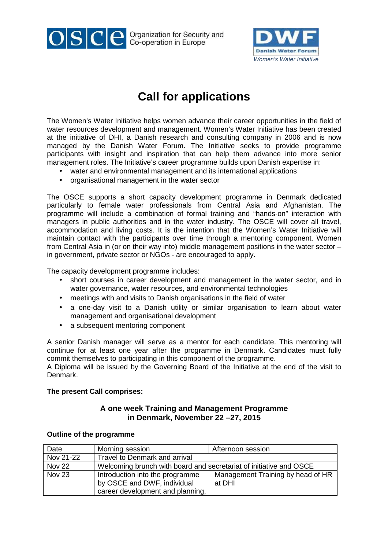

OSCE Crganization for Security and



# **Call for applications**

The Women's Water Initiative helps women advance their career opportunities in the field of water resources development and management. Women's Water Initiative has been created at the initiative of DHI, a Danish research and consulting company in 2006 and is now managed by the Danish Water Forum. The Initiative seeks to provide programme participants with insight and inspiration that can help them advance into more senior management roles. The Initiative's career programme builds upon Danish expertise in:

- water and environmental management and its international applications
- organisational management in the water sector

The OSCE supports a short capacity development programme in Denmark dedicated particularly to female water professionals from Central Asia and Afghanistan. The programme will include a combination of formal training and "hands-on" interaction with managers in public authorities and in the water industry. The OSCE will cover all travel, accommodation and living costs. It is the intention that the Women's Water Initiative will maintain contact with the participants over time through a mentoring component. Women from Central Asia in (or on their way into) middle management positions in the water sector – in government, private sector or NGOs - are encouraged to apply.

The capacity development programme includes:

- short courses in career development and management in the water sector, and in water governance, water resources, and environmental technologies
- meetings with and visits to Danish organisations in the field of water
- a one-day visit to a Danish utility or similar organisation to learn about water management and organisational development
- a subsequent mentoring component

A senior Danish manager will serve as a mentor for each candidate. This mentoring will continue for at least one year after the programme in Denmark. Candidates must fully commit themselves to participating in this component of the programme.

A Diploma will be issued by the Governing Board of the Initiative at the end of the visit to Denmark.

#### **The present Call comprises:**

### **A one week Training and Management Programme in Denmark, November 22 –27, 2015**

| Date          | Morning session                                                    | Afternoon session                 |
|---------------|--------------------------------------------------------------------|-----------------------------------|
| Nov 21-22     | <b>Travel to Denmark and arrival</b>                               |                                   |
| <b>Nov 22</b> | Welcoming brunch with board and secretariat of initiative and OSCE |                                   |
| Nov 23        | Introduction into the programme                                    | Management Training by head of HR |
|               | by OSCE and DWF, individual                                        | at DHI                            |
|               | career development and planning,                                   |                                   |

#### **Outline of the programme**